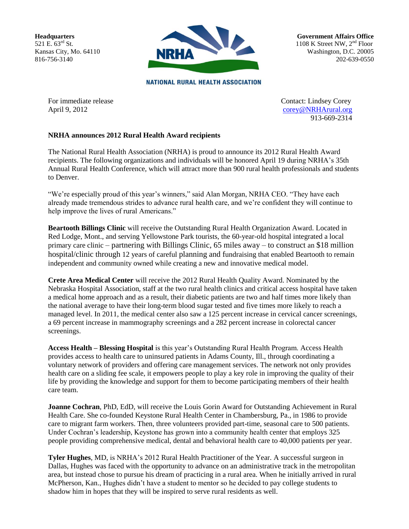**Headquarters** 521 E. 63<sup>rd</sup> St. Kansas City, Mo. 64110 816-756-3140



**Government Affairs Office** 1108 K Street NW,  $2<sup>nd</sup>$  Floor Washington, D.C. 20005 202-639-0550

**NATIONAL RURAL HEALTH ASSOCIATION** 

For immediate release Contact: Lindsey Corey April 9, 2012 [corey@NRHArural.org](mailto:corey@NRHArural.org) 913-669-2314

## **NRHA announces 2012 Rural Health Award recipients**

The National Rural Health Association (NRHA) is proud to announce its 2012 Rural Health Award recipients. The following organizations and individuals will be honored April 19 during NRHA's 35th Annual Rural Health Conference, which will attract more than 900 rural health professionals and students to Denver.

"We're especially proud of this year's winners," said Alan Morgan, NRHA CEO. "They have each already made tremendous strides to advance rural health care, and we're confident they will continue to help improve the lives of rural Americans."

**Beartooth Billings Clinic** will receive the Outstanding Rural Health Organization Award. Located in Red Lodge, Mont., and serving Yellowstone Park tourists, the 60-year-old hospital integrated a local primary care clinic – partnering with Billings Clinic, 65 miles away – to construct an \$18 million hospital/clinic through 12 years of careful planning and fundraising that enabled Beartooth to remain independent and community owned while creating a new and innovative medical model.

**Crete Area Medical Center** will receive the 2012 Rural Health Quality Award. Nominated by the Nebraska Hospital Association, staff at the two rural health clinics and critical access hospital have taken a medical home approach and as a result, their diabetic patients are two and half times more likely than the national average to have their long-term blood sugar tested and five times more likely to reach a managed level. In 2011, the medical center also saw a 125 percent increase in cervical cancer screenings, a 69 percent increase in mammography screenings and a 282 percent increase in colorectal cancer screenings.

**Access Health – Blessing Hospital** is this year's Outstanding Rural Health Program. Access Health provides access to health care to uninsured patients in Adams County, Ill., through coordinating a voluntary network of providers and offering care management services. The network not only provides health care on a sliding fee scale, it empowers people to play a key role in improving the quality of their life by providing the knowledge and support for them to become participating members of their health care team.

**Joanne Cochran**, PhD, EdD, will receive the Louis Gorin Award for Outstanding Achievement in Rural Health Care. She co-founded Keystone Rural Health Center in Chambersburg, Pa., in 1986 to provide care to migrant farm workers. Then, three volunteers provided part-time, seasonal care to 500 patients. Under Cochran's leadership, Keystone has grown into a community health center that employs 325 people providing comprehensive medical, dental and behavioral health care to 40,000 patients per year.

**Tyler Hughes**, MD, is NRHA's 2012 Rural Health Practitioner of the Year. A successful surgeon in Dallas, Hughes was faced with the opportunity to advance on an administrative track in the metropolitan area, but instead chose to pursue his dream of practicing in a rural area. When he initially arrived in rural McPherson, Kan., Hughes didn't have a student to mentor so he decided to pay college students to shadow him in hopes that they will be inspired to serve rural residents as well.